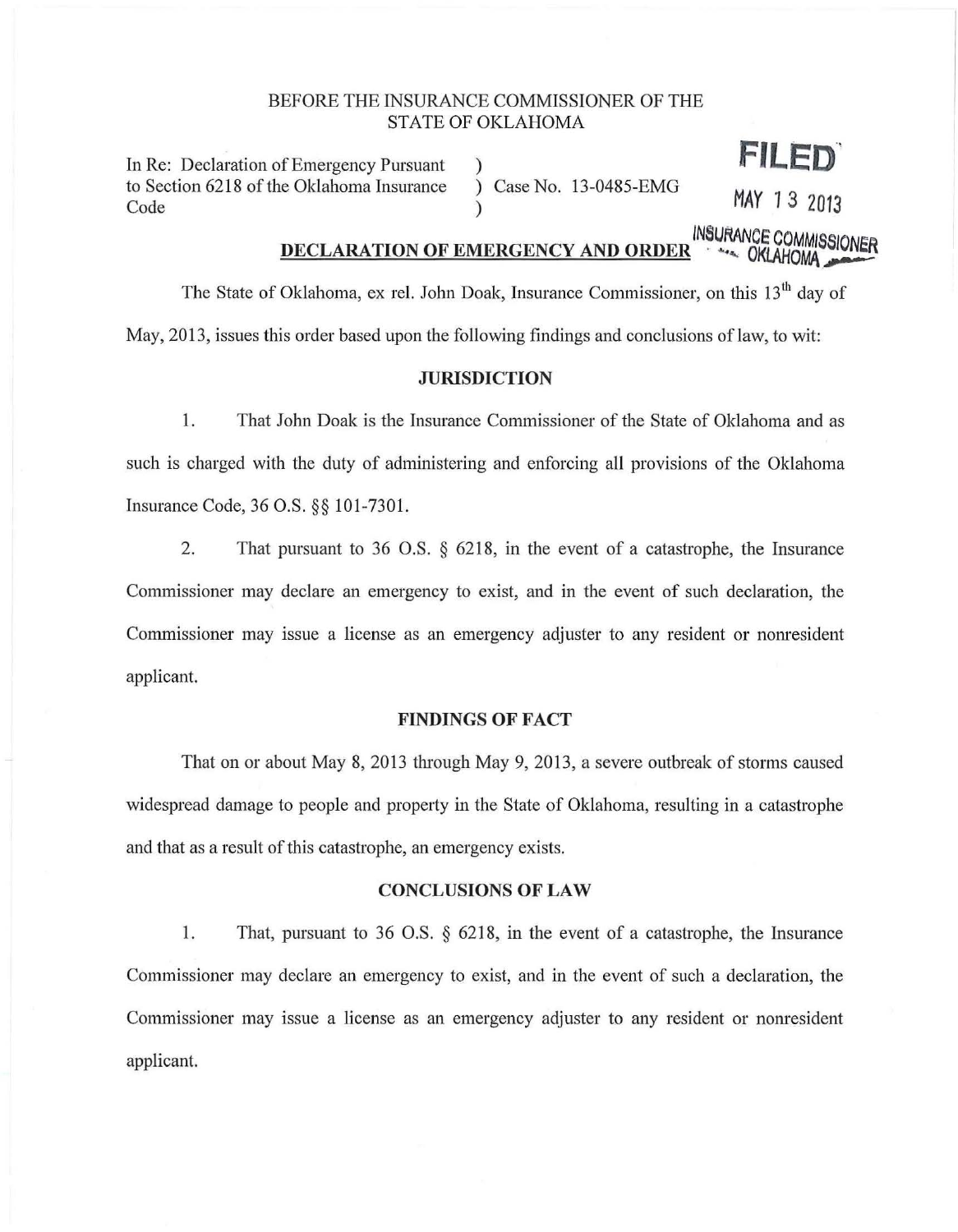## BEFORE THE INSURANCE COMMISSIONER OF THE STATE OF OKLAHOMA

)

In Re: Declaration of Emergency Pursuant to Section 6218 of the Oklahoma Insurance Code

) Case No. 13-0485-EMG

) **MAY** *1* **3 <sup>2013</sup>**

FILED

# DECLARATION OF EMERGENCY AND ORDER<sup>NACE</sup> COMMISSIONER

The State of Oklahoma, ex rel. John Doak, Insurance Commissioner, on this 13<sup>th</sup> day of May, 2013, issues this order based upon the following findings and conclusions of law, to wit:

## **JURISDICTION**

1. That John Doak is the Insurance Commissioner of the State of Oklahoma and as such is charged with the duty of administering and enforcing all provisions of the Oklahoma Insurance Code, 36 O.S. §§ 101-7301.

2. That pursuant to 36 O.S. § 6218, in the event of a catastrophe, the Insurance Commissioner may declare an emergency to exist, and in the event of such declaration, the Commissioner may issue a license as an emergency adjuster to any resident or nomesident applicant.

### **FINDINGS OF FACT**

That on or about May 8, 2013 through May 9, 2013, a severe outbreak of storms caused widespread damage to people and property in the State of Oklahoma, resulting in a catastrophe and that as a result of this catastrophe, an emergency exists.

#### **CONCLUSIONS OF LAW**

1. That, pursuant to 36 O.S. § 6218, in the event of a catastrophe, the Insurance Commissioner may declare an emergency to exist, and in the event of such a declaration, the Commissioner may issue a license as an emergency adjuster to any resident or nonresident applicant.